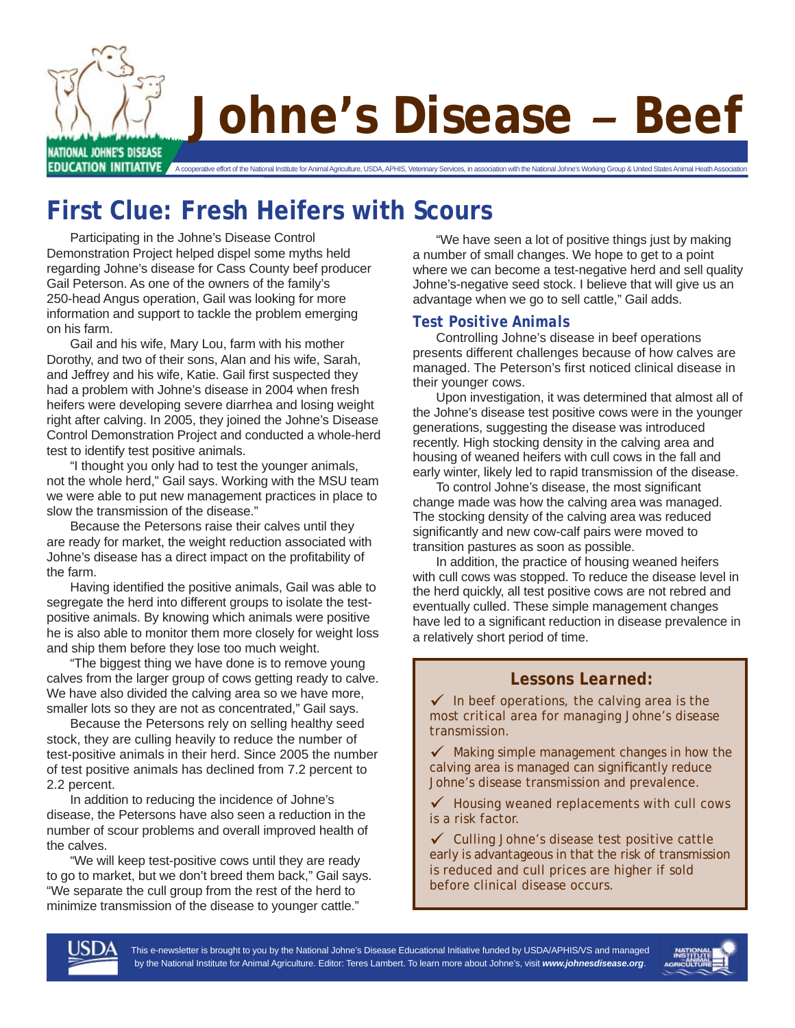

# **Johne's Disease** *–* **Beef**

EDUCATION INITIATIVE A cooperative effort of the National Institute for Animal Agriculture, USDA, APHIS, Veterinary Services, in association with the National Johne's Working Group & United States Animal Heath Association

# **First Clue: Fresh Heifers with Scours**

Participating in the Johne's Disease Control Demonstration Project helped dispel some myths held regarding Johne's disease for Cass County beef producer Gail Peterson. As one of the owners of the family's 250-head Angus operation, Gail was looking for more information and support to tackle the problem emerging on his farm.

Gail and his wife, Mary Lou, farm with his mother Dorothy, and two of their sons, Alan and his wife, Sarah, and Jeffrey and his wife, Katie. Gail first suspected they had a problem with Johne's disease in 2004 when fresh heifers were developing severe diarrhea and losing weight right after calving. In 2005, they joined the Johne's Disease Control Demonstration Project and conducted a whole-herd test to identify test positive animals.

"I thought you only had to test the younger animals, not the whole herd," Gail says. Working with the MSU team we were able to put new management practices in place to slow the transmission of the disease."

Because the Petersons raise their calves until they are ready for market, the weight reduction associated with Johne's disease has a direct impact on the profitability of the farm.

Having identified the positive animals, Gail was able to segregate the herd into different groups to isolate the testpositive animals. By knowing which animals were positive he is also able to monitor them more closely for weight loss and ship them before they lose too much weight.

"The biggest thing we have done is to remove young calves from the larger group of cows getting ready to calve. We have also divided the calving area so we have more, smaller lots so they are not as concentrated," Gail says.

Because the Petersons rely on selling healthy seed stock, they are culling heavily to reduce the number of test-positive animals in their herd. Since 2005 the number of test positive animals has declined from 7.2 percent to 2.2 percent.

In addition to reducing the incidence of Johne's disease, the Petersons have also seen a reduction in the number of scour problems and overall improved health of the calves.

"We will keep test-positive cows until they are ready to go to market, but we don't breed them back," Gail says. "We separate the cull group from the rest of the herd to minimize transmission of the disease to younger cattle."

"We have seen a lot of positive things just by making a number of small changes. We hope to get to a point where we can become a test-negative herd and sell quality Johne's-negative seed stock. I believe that will give us an advantage when we go to sell cattle," Gail adds.

#### *Test Positive Animals*

Controlling Johne's disease in beef operations presents different challenges because of how calves are managed. The Peterson's first noticed clinical disease in their younger cows.

Upon investigation, it was determined that almost all of the Johne's disease test positive cows were in the younger generations, suggesting the disease was introduced recently. High stocking density in the calving area and housing of weaned heifers with cull cows in the fall and early winter, likely led to rapid transmission of the disease.

To control Johne's disease, the most significant change made was how the calving area was managed. The stocking density of the calving area was reduced significantly and new cow-calf pairs were moved to transition pastures as soon as possible.

In addition, the practice of housing weaned heifers with cull cows was stopped. To reduce the disease level in the herd quickly, all test positive cows are not rebred and eventually culled. These simple management changes have led to a significant reduction in disease prevalence in a relatively short period of time.

#### *Lessons Learned:*

 $\checkmark$  In beef operations, the calving area is the most critical area for managing Johne's disease transmission.

 $\checkmark$  Making simple management changes in how the calving area is managed can significantly reduce Johne's disease transmission and prevalence.

 $\checkmark$  Housing weaned replacements with cull cows is a risk factor.

 $\checkmark$  Culling Johne's disease test positive cattle early is advantageous in that the risk of transmission is reduced and cull prices are higher if sold before clinical disease occurs.



This e-newsletter is brought to you by the National Johne's Disease Educational Initiative funded by USDA/APHIS/VS and managed by the National Institute for Animal Agriculture. Editor: Teres Lambert. To learn more about Johne's, visit *www.johnesdisease.org*.

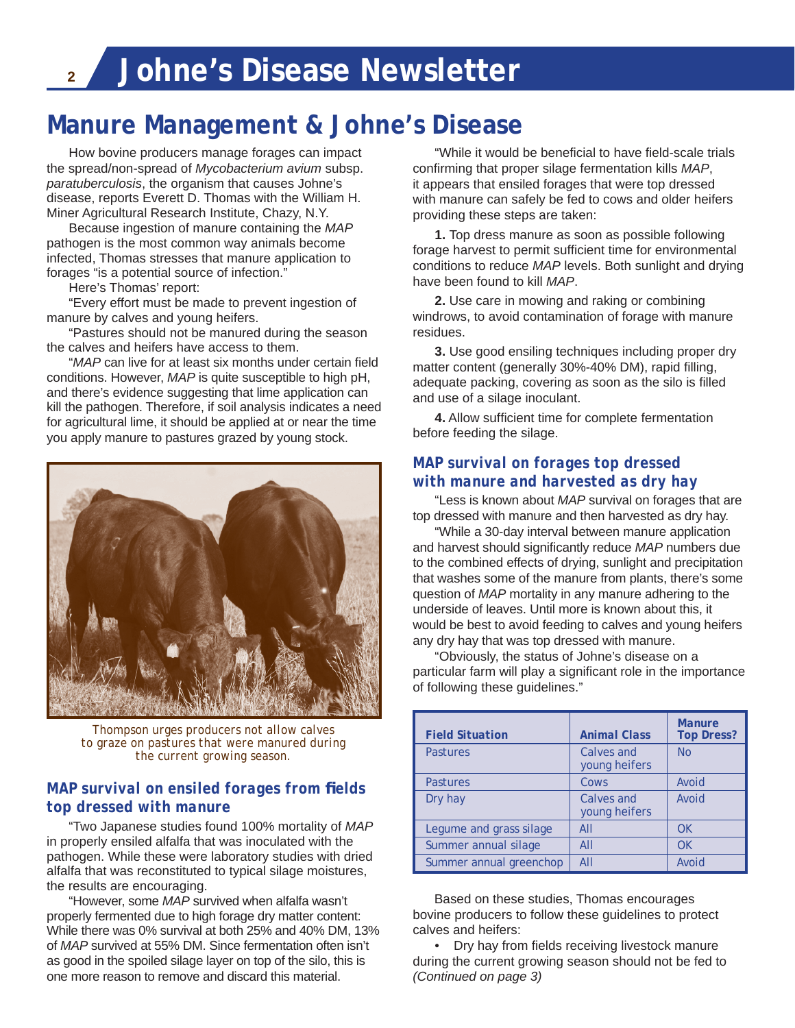## **Manure Management & Johne's Disease**

 How bovine producers manage forages can impact the spread/non-spread of *Mycobacterium avium* subsp. *paratuberculosis*, the organism that causes Johne's disease, reports Everett D. Thomas with the William H. Miner Agricultural Research Institute, Chazy, N.Y.

 Because ingestion of manure containing the *MAP* pathogen is the most common way animals become infected, Thomas stresses that manure application to forages "is a potential source of infection."

Here's Thomas' report:

 "Every effort must be made to prevent ingestion of manure by calves and young heifers.

 "Pastures should not be manured during the season the calves and heifers have access to them.

"*MAP* can live for at least six months under certain field conditions. However, *MAP* is quite susceptible to high pH, and there's evidence suggesting that lime application can kill the pathogen. Therefore, if soil analysis indicates a need for agricultural lime, it should be applied at or near the time you apply manure to pastures grazed by young stock.



*Thompson urges producers not allow calves to graze on pastures that were manured during the current growing season.*

#### *MAP survival on ensiled forages from fi elds top dressed with manure*

 "Two Japanese studies found 100% mortality of *MAP* in properly ensiled alfalfa that was inoculated with the pathogen. While these were laboratory studies with dried alfalfa that was reconstituted to typical silage moistures, the results are encouraging.

 "However, some *MAP* survived when alfalfa wasn't properly fermented due to high forage dry matter content: While there was 0% survival at both 25% and 40% DM, 13% of *MAP* survived at 55% DM. Since fermentation often isn't as good in the spoiled silage layer on top of the silo, this is one more reason to remove and discard this material.

"While it would be beneficial to have field-scale trials confirming that proper silage fermentation kills MAP, it appears that ensiled forages that were top dressed with manure can safely be fed to cows and older heifers providing these steps are taken:

**1.** Top dress manure as soon as possible following forage harvest to permit sufficient time for environmental conditions to reduce *MAP* levels. Both sunlight and drying have been found to kill *MAP*.

**2.** Use care in mowing and raking or combining windrows, to avoid contamination of forage with manure residues.

**3.** Use good ensiling techniques including proper dry matter content (generally 30%-40% DM), rapid filling, adequate packing, covering as soon as the silo is filled and use of a silage inoculant.

**4.** Allow sufficient time for complete fermentation before feeding the silage.

#### *MAP survival on forages top dressed with manure and harvested as dry hay*

 "Less is known about *MAP* survival on forages that are top dressed with manure and then harvested as dry hay.

 "While a 30-day interval between manure application and harvest should significantly reduce *MAP* numbers due to the combined effects of drying, sunlight and precipitation that washes some of the manure from plants, there's some question of *MAP* mortality in any manure adhering to the underside of leaves. Until more is known about this, it would be best to avoid feeding to calves and young heifers any dry hay that was top dressed with manure.

 "Obviously, the status of Johne's disease on a particular farm will play a significant role in the importance of following these guidelines."

| <b>Field Situation</b>  | <b>Animal Class</b>         | <b>Manure</b><br><b>Top Dress?</b> |
|-------------------------|-----------------------------|------------------------------------|
| <b>Pastures</b>         | Calves and<br>young heifers | <b>No</b>                          |
| <b>Pastures</b>         | Cows                        | Avoid                              |
| Dry hay                 | Calves and<br>young heifers | Avoid                              |
| Legume and grass silage | AII                         | <b>OK</b>                          |
| Summer annual silage    | AII                         | <b>OK</b>                          |
| Summer annual greenchop | AII                         | Avoid                              |

 Based on these studies, Thomas encourages bovine producers to follow these guidelines to protect calves and heifers:

• Dry hay from fields receiving livestock manure during the current growing season should not be fed to *(Continued on page 3)*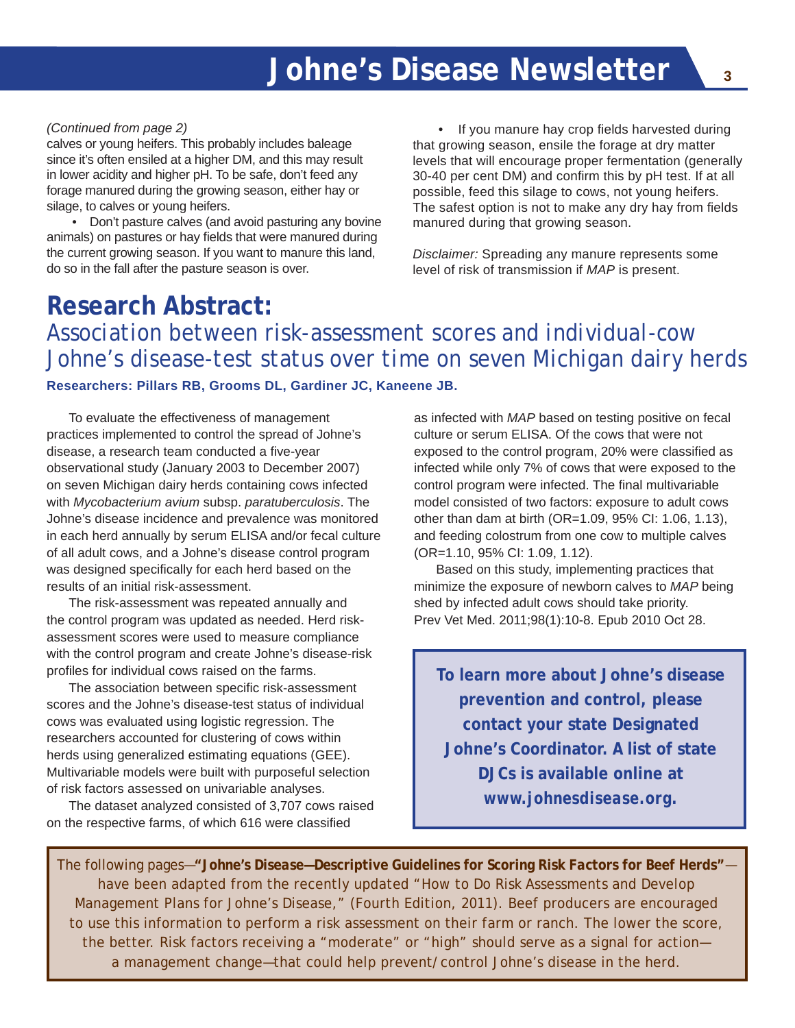#### *(Continued from page 2)*

calves or young heifers. This probably includes baleage since it's often ensiled at a higher DM, and this may result in lower acidity and higher pH. To be safe, don't feed any forage manured during the growing season, either hay or silage, to calves or young heifers.

 • Don't pasture calves (and avoid pasturing any bovine animals) on pastures or hay fields that were manured during the current growing season. If you want to manure this land, do so in the fall after the pasture season is over.

• If you manure hay crop fields harvested during that growing season, ensile the forage at dry matter levels that will encourage proper fermentation (generally 30-40 per cent DM) and confirm this by pH test. If at all possible, feed this silage to cows, not young heifers. The safest option is not to make any dry hay from fields manured during that growing season.

*Disclaimer:* Spreading any manure represents some level of risk of transmission if *MAP* is present.

## **Research Abstract:**  *Association between risk-assessment scores and individual-cow Johne's disease-test status over time on seven Michigan dairy herds* **Researchers: Pillars RB, Grooms DL, Gardiner JC, Kaneene JB.**

To evaluate the effectiveness of management practices implemented to control the spread of Johne's disease, a research team conducted a five-year observational study (January 2003 to December 2007) on seven Michigan dairy herds containing cows infected with *Mycobacterium avium* subsp. *paratuberculosis*. The Johne's disease incidence and prevalence was monitored in each herd annually by serum ELISA and/or fecal culture of all adult cows, and a Johne's disease control program was designed specifically for each herd based on the results of an initial risk-assessment.

 The risk-assessment was repeated annually and the control program was updated as needed. Herd riskassessment scores were used to measure compliance with the control program and create Johne's disease-risk profiles for individual cows raised on the farms.

The association between specific risk-assessment scores and the Johne's disease-test status of individual cows was evaluated using logistic regression. The researchers accounted for clustering of cows within herds using generalized estimating equations (GEE). Multivariable models were built with purposeful selection of risk factors assessed on univariable analyses.

 The dataset analyzed consisted of 3,707 cows raised on the respective farms, of which 616 were classified

as infected with *MAP* based on testing positive on fecal culture or serum ELISA. Of the cows that were not exposed to the control program, 20% were classified as infected while only 7% of cows that were exposed to the control program were infected. The final multivariable model consisted of two factors: exposure to adult cows other than dam at birth (OR=1.09, 95% CI: 1.06, 1.13), and feeding colostrum from one cow to multiple calves (OR=1.10, 95% CI: 1.09, 1.12).

 Based on this study, implementing practices that minimize the exposure of newborn calves to *MAP* being shed by infected adult cows should take priority. Prev Vet Med. 2011;98(1):10-8. Epub 2010 Oct 28.

**To learn more about Johne's disease prevention and control, please contact your state Designated Johne's Coordinator. A list of state DJCs is available online at**  *www.johnesdisease.org***.**

The following pages—*"Johne's Disease—Descriptive Guidelines for Scoring Risk Factors for Beef Herds"* have been adapted from the recently updated "How to Do Risk Assessments and Develop Management Plans for Johne's Disease," (Fourth Edition, 2011). Beef producers are encouraged to use this information to perform a risk assessment on their farm or ranch. The lower the score, the better. Risk factors receiving a "moderate" or "high" should serve as a signal for action a management change—that could help prevent/control Johne's disease in the herd.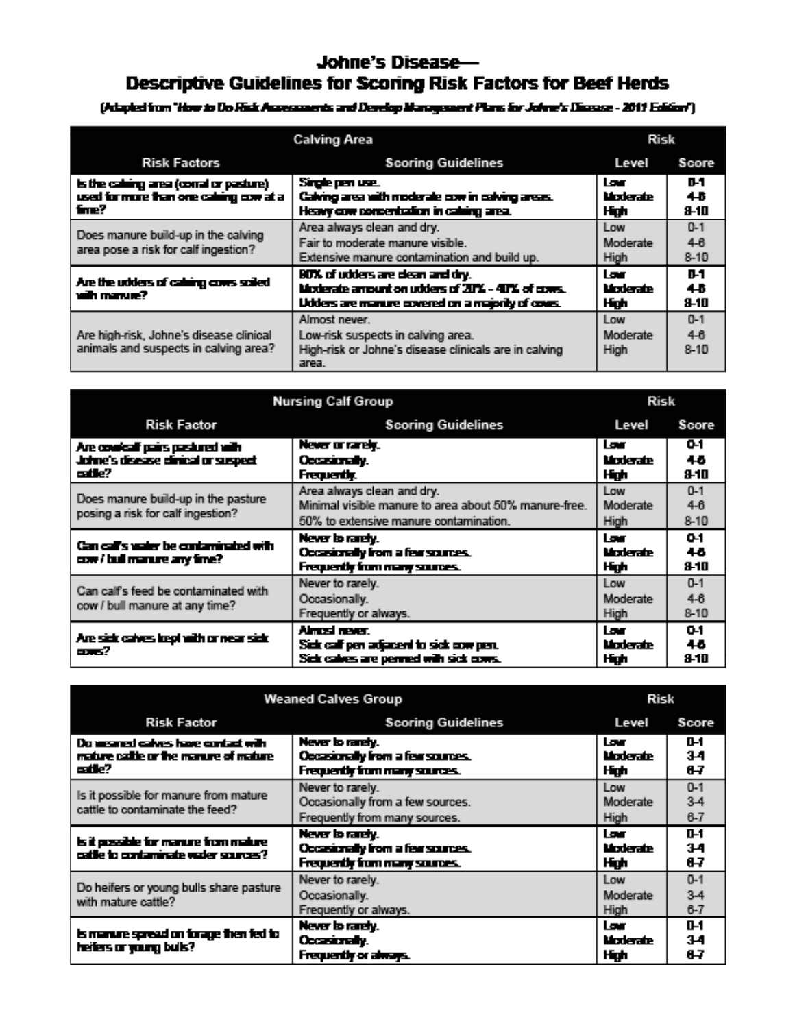### Johne's Disease-Descriptive Guidelines for Scoring Risk Factors for Beef Herds

(Adapted from "How to Do Rick Australiances and Develop Management Plans for Johnn's Disease - 2011 Edition")

| <b>Calving Area</b>                                                                         |                                                                                                                                           | Risk                     |                                |  |
|---------------------------------------------------------------------------------------------|-------------------------------------------------------------------------------------------------------------------------------------------|--------------------------|--------------------------------|--|
| <b>Risk Factors</b>                                                                         | <b>Scoring Guidelines</b><br>Level<br>Score                                                                                               |                          |                                |  |
| is the calimp area (corral or pasture)<br>used for more than one callering cow at a<br>fme? | Single pen use.<br>Calving area with moderate cow in calving areas.<br>Heavy component calendary area.                                    | lor<br>Moderate<br>High  | D-1<br>45<br>8-10              |  |
| Does manure build-up in the calving<br>area pose a risk for calf ingestion?                 | Area always clean and dry.<br>Fair to moderate manure visible.<br>Extensive manure contamination and build up.                            | Low<br>Moderate<br>High  | $0 - 1$<br>$4 - 8$<br>$8 - 10$ |  |
| Are the udders of calimg coms sciled.<br>with manue?                                        | 80% of udders are clean and dry.<br>Moderate amount on udders of 20% - 40% of coars.<br>Udders are manure covered on a majority of cours. | lor.<br>Moderate<br>High | D-1<br>46<br>Я-1П              |  |
| Are high-risk, Johne's disease clinical<br>animals and suspects in calving area?            | Almost never.<br>Low-risk suspects in calving area.<br>High-risk or Johne's disease clinicals are in calving<br>area.                     | Low<br>Moderate<br>High  | $0 - 1$<br>$4 - 8$<br>$8 - 10$ |  |

| <b>Nursing Calf Group</b>                                                         |                                                                                                                               | Risk                        |                                |
|-----------------------------------------------------------------------------------|-------------------------------------------------------------------------------------------------------------------------------|-----------------------------|--------------------------------|
| <b>Risk Factor</b>                                                                | <b>Scoring Guidelines</b>                                                                                                     | Level                       | Score                          |
| Are couricall pairs pastured with<br>Johne's disease clinical or suspect<br>edle? | Never or rarely.<br>Occurrent.<br>Frequently.                                                                                 | l sur l<br>Moderate<br>High | 0-1<br>$\overline{a}$<br>8-10  |
| Does manure build-up in the pasture<br>posing a risk for calf ingestion?          | Area always clean and dry.<br>Minimal visible manure to area about 50% manure-free.<br>50% to extensive manure contamination. | Low<br>Moderate<br>High     | $0 - 1$<br>$4-6$<br>$8 - 10$   |
| Can call's water be contaminated with<br>cow / bull manure any fine?              | Never to ranely.<br>Occasionally from a fear sources.<br>Frequently from many sources.                                        | lor.<br>Moderate<br>High    | 0-1<br>$\overline{a}$<br>9-10  |
| Can calf's feed be contaminated with<br>cow / bull manure at any time?            | Never to rarely.<br>Occasionally.<br>Frequently or always.                                                                    | Low<br>Moderate<br>High     | $0 - 1$<br>$4 - 6$<br>$8 - 10$ |
| Are sick calves kept with crivear sick<br>ass:2                                   | Almost never.<br>Sick call pen adjacent to sick cow pen.<br>Sick calves are permed with sick cows.                            | lor.<br>Moderate<br>High    | 0-1<br>46.<br>8-10             |

| <b>Weaned Calves Group</b>                                                             |                                                                                        | Risk                      |                             |  |
|----------------------------------------------------------------------------------------|----------------------------------------------------------------------------------------|---------------------------|-----------------------------|--|
| <b>Risk Factor</b>                                                                     | <b>Scoring Guidelines</b><br>Level                                                     |                           |                             |  |
| Do weared calves have contact with<br>mature cattle or the manure of mature i<br>edle? | Never to rarely.<br>Occasionally from a fear sources.<br>Frequently from many sources. | lar.<br>Moderate<br>High  | D-1<br>34<br>87             |  |
| Is it possible for manure from mature<br>cattle to contaminate the feed?               | Never to rarely.<br>Occasionally from a few sources.<br>Frequently from many sources.  | Low<br>Moderate<br>High   | $0 - 1$<br>$3-4$<br>$6 - 7$ |  |
| is it possible for manure from makine<br>sable to contaminate vader sources?           | Never to rarely.<br>Occasionally from a fear sources.<br>Frequently from many sources. | log .<br>Moderate<br>High | 0-1<br>34<br>87             |  |
| Do heifers or young bulls share pasture<br>with mature cattle?                         | Never to rarely.<br>Occasionally.<br>Frequently or always.                             | Low<br>Moderate<br>High   | $0 - 1$<br>$3-4$<br>$6 - 7$ |  |
| is manure spread on forage then fed to<br>heiters or young bulls?                      | Never to ranely.<br>Occasionaly.<br>Frequently or always.                              | lor.<br>Moderate<br>High  | 0-1<br>34<br>87             |  |